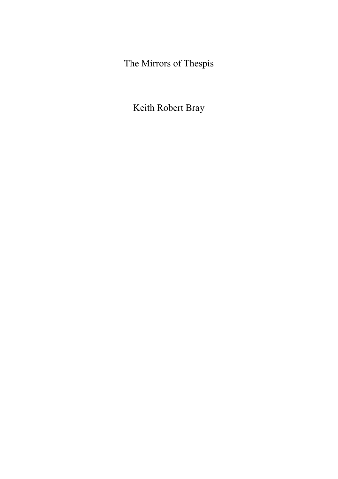The Mirrors of Thespis

Keith Robert Bray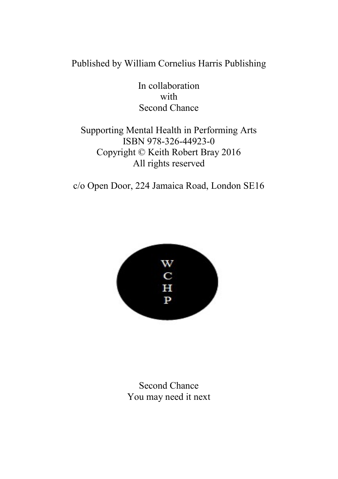#### Published by William Cornelius Harris Publishing

In collaboration with Second Chance

#### Supporting Mental Health in Performing Arts ISBN 978-326-44923-0 Copyright © Keith Robert Bray 2016 All rights reserved

c/o Open Door, 224 Jamaica Road, London SE16



Second Chance You may need it next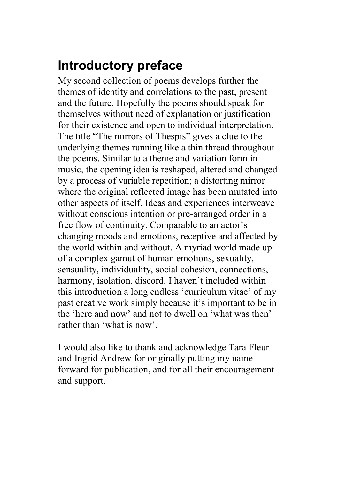## **Introductory preface**

My second collection of poems develops further the themes of identity and correlations to the past, present and the future. Hopefully the poems should speak for themselves without need of explanation or justification for their existence and open to individual interpretation. The title "The mirrors of Thespis" gives a clue to the underlying themes running like a thin thread throughout the poems. Similar to a theme and variation form in music, the opening idea is reshaped, altered and changed by a process of variable repetition; a distorting mirror where the original reflected image has been mutated into other aspects of itself. Ideas and experiences interweave without conscious intention or pre-arranged order in a free flow of continuity. Comparable to an actor's changing moods and emotions, receptive and affected by the world within and without. A myriad world made up of a complex gamut of human emotions, sexuality, sensuality, individuality, social cohesion, connections, harmony, isolation, discord. I haven't included within this introduction a long endless 'curriculum vitae' of my past creative work simply because it's important to be in the 'here and now' and not to dwell on 'what was then' rather than 'what is now'.

I would also like to thank and acknowledge Tara Fleur and Ingrid Andrew for originally putting my name forward for publication, and for all their encouragement and support.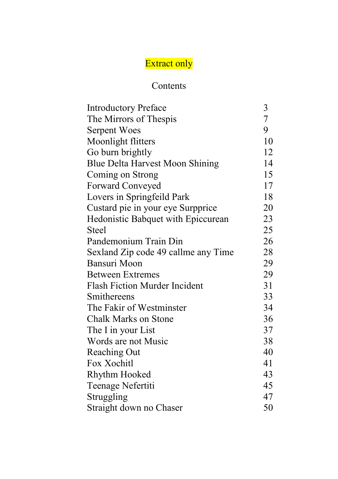# Extract only

#### Contents

| <b>Introductory Preface</b>            | 3              |
|----------------------------------------|----------------|
| The Mirrors of Thespis                 | $\overline{7}$ |
| Serpent Woes                           | 9              |
| Moonlight flitters                     | 10             |
| Go burn brightly                       | 12             |
| <b>Blue Delta Harvest Moon Shining</b> | 14             |
| Coming on Strong                       | 15             |
| Forward Conveyed                       | 17             |
| Lovers in Springfeild Park             | 18             |
| Custard pie in your eye Surpprice      | 20             |
| Hedonistic Babquet with Epiccurean     | 23             |
| Steel                                  | 25             |
| Pandemonium Train Din                  | 26             |
| Sexland Zip code 49 callme any Time    | 28             |
| Bansuri Moon                           | 29             |
| <b>Between Extremes</b>                | 29             |
| <b>Flash Fiction Murder Incident</b>   | 31             |
| Smithereens                            | 33             |
| The Fakir of Westminster               | 34             |
| <b>Chalk Marks on Stone</b>            | 36             |
| The I in your List                     | 37             |
| Words are not Music                    | 38             |
| <b>Reaching Out</b>                    | 40             |
| Fox Xochitl                            | 41             |
| Rhythm Hooked                          | 43             |
| Teenage Nefertiti                      | 45             |
| Struggling                             | 47             |
| Straight down no Chaser                | 50             |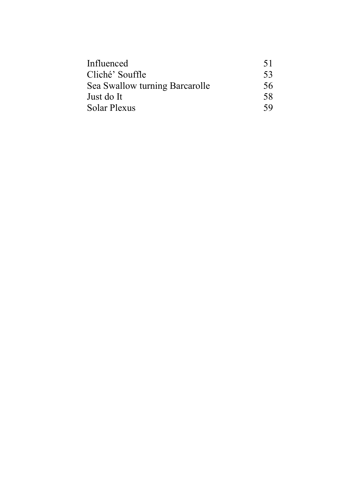| Influenced                     | 51 |
|--------------------------------|----|
| Cliché' Souffle                | 53 |
| Sea Swallow turning Barcarolle | 56 |
| Just do It                     | 58 |
| Solar Plexus                   | 59 |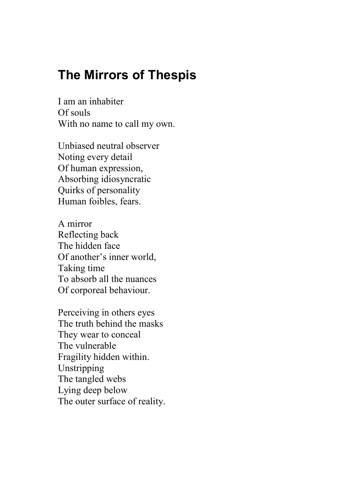### **The Mirrors of Thespis**

I am an inhabiter Of souls With no name to call my own.

Unbiased neutral observer Noting every detail Of human expression, Absorbing idiosyncratic Quirks of personality Human foibles, fears.

A mirror Reflecting back The hidden face Of another's inner world, Taking time To absorb all the nuances Of corporeal behaviour.

Perceiving in others eyes The truth behind the masks They wear to conceal The vulnerable Fragility hidden within. Unstripping The tangled webs Lying deep below The outer surface of reality.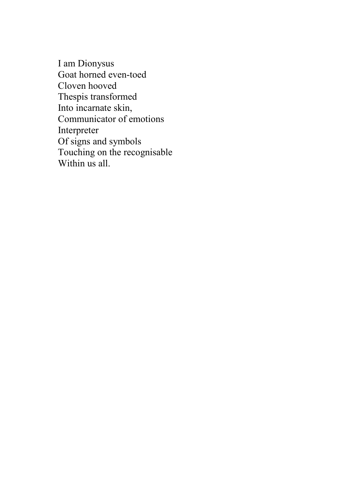I am Dionysus Goat horned even-toed Cloven hooved Thespis transformed Into incarnate skin, Communicator of emotions Interpreter Of signs and symbols Touching on the recognisable Within us all.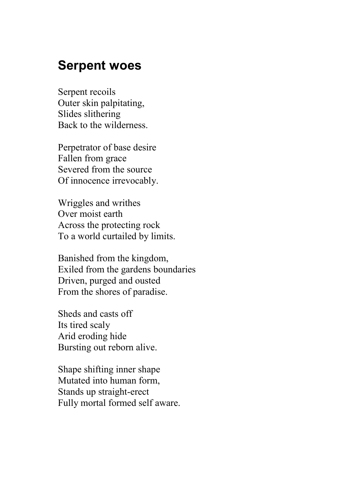### **Serpent woes**

Serpent recoils Outer skin palpitating, Slides slithering Back to the wilderness.

Perpetrator of base desire Fallen from grace Severed from the source Of innocence irrevocably.

Wriggles and writhes Over moist earth Across the protecting rock To a world curtailed by limits.

Banished from the kingdom, Exiled from the gardens boundaries Driven, purged and ousted From the shores of paradise.

Sheds and casts off Its tired scaly Arid eroding hide Bursting out reborn alive.

Shape shifting inner shape Mutated into human form, Stands up straight-erect Fully mortal formed self aware.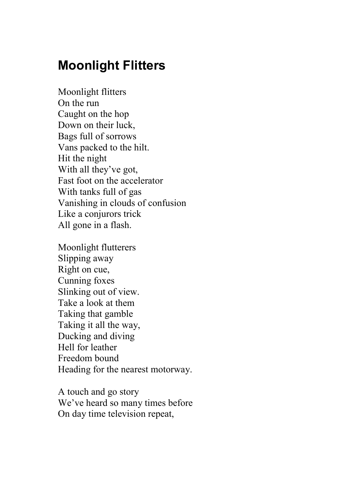## **Moonlight Flitters**

Moonlight flitters On the run Caught on the hop Down on their luck, Bags full of sorrows Vans packed to the hilt. Hit the night With all they've got, Fast foot on the accelerator With tanks full of gas Vanishing in clouds of confusion Like a conjurors trick All gone in a flash.

Moonlight flutterers Slipping away Right on cue, Cunning foxes Slinking out of view. Take a look at them Taking that gamble Taking it all the way, Ducking and diving Hell for leather Freedom bound Heading for the nearest motorway.

A touch and go story We've heard so many times before On day time television repeat,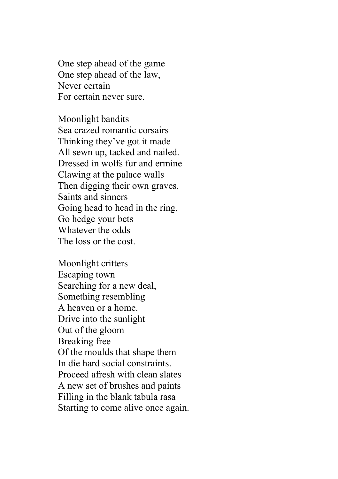One step ahead of the game One step ahead of the law, Never certain For certain never sure.

Moonlight bandits Sea crazed romantic corsairs Thinking they've got it made All sewn up, tacked and nailed. Dressed in wolfs fur and ermine Clawing at the palace walls Then digging their own graves. Saints and sinners Going head to head in the ring, Go hedge your bets Whatever the odds The loss or the cost.

Moonlight critters Escaping town Searching for a new deal, Something resembling A heaven or a home. Drive into the sunlight Out of the gloom Breaking free Of the moulds that shape them In die hard social constraints. Proceed afresh with clean slates A new set of brushes and paints Filling in the blank tabula rasa Starting to come alive once again.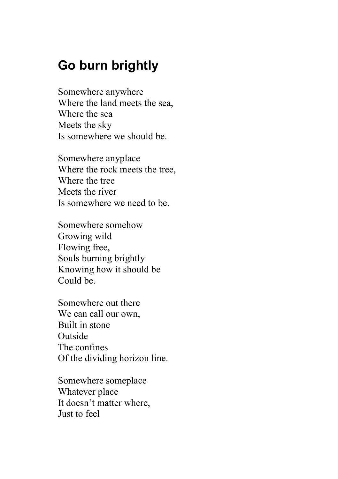### **Go burn brightly**

Somewhere anywhere Where the land meets the sea, Where the sea Meets the sky Is somewhere we should be.

Somewhere anyplace Where the rock meets the tree, Where the tree Meets the river Is somewhere we need to be.

Somewhere somehow Growing wild Flowing free, Souls burning brightly Knowing how it should be Could be.

Somewhere out there We can call our own, Built in stone Outside The confines Of the dividing horizon line.

Somewhere someplace Whatever place It doesn't matter where, Just to feel